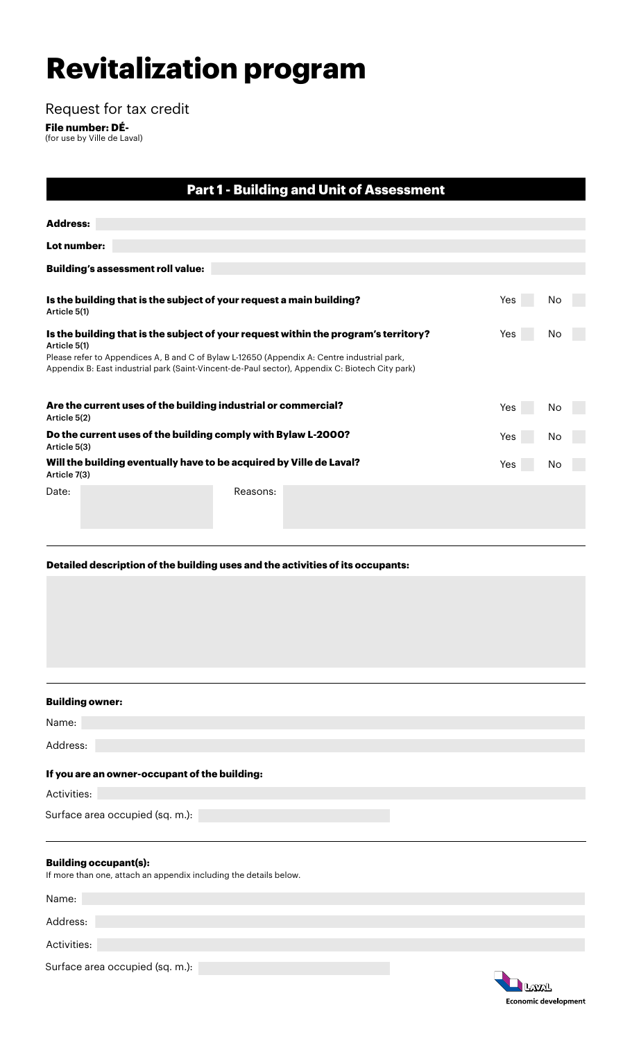# **Revitalization program**

Request for tax credit

**File number: DÉ-** (for use by Ville de Laval)

| <b>Part 1 - Building and Unit of Assessment</b>                                                                                                                                                                |          |     |     |    |
|----------------------------------------------------------------------------------------------------------------------------------------------------------------------------------------------------------------|----------|-----|-----|----|
| <b>Address:</b>                                                                                                                                                                                                |          |     |     |    |
|                                                                                                                                                                                                                |          |     |     |    |
| Lot number:                                                                                                                                                                                                    |          |     |     |    |
| <b>Building's assessment roll value:</b>                                                                                                                                                                       |          |     |     |    |
|                                                                                                                                                                                                                |          |     |     |    |
| Is the building that is the subject of your request a main building?<br>Article 5(1)                                                                                                                           |          |     | Yes | No |
| Is the building that is the subject of your request within the program's territory?                                                                                                                            |          | Yes | No  |    |
| Article 5(1)<br>Please refer to Appendices A, B and C of Bylaw L-12650 (Appendix A: Centre industrial park,<br>Appendix B: East industrial park (Saint-Vincent-de-Paul sector), Appendix C: Biotech City park) |          |     |     |    |
| Are the current uses of the building industrial or commercial?<br>Article 5(2)                                                                                                                                 |          | Yes | No  |    |
| Do the current uses of the building comply with Bylaw L-2000?<br>Article 5(3)                                                                                                                                  |          | Yes | No  |    |
| Will the building eventually have to be acquired by Ville de Laval?<br>Article 7(3)                                                                                                                            |          | Yes | No  |    |
| Date:                                                                                                                                                                                                          | Reasons: |     |     |    |
|                                                                                                                                                                                                                |          |     |     |    |

**Detailed description of the building uses and the activities of its occupants:**

| <b>Building owner:</b>                                                                            |
|---------------------------------------------------------------------------------------------------|
| Name:                                                                                             |
| Address:                                                                                          |
| If you are an owner-occupant of the building:                                                     |
| Activities:                                                                                       |
| Surface area occupied (sq. m.):                                                                   |
|                                                                                                   |
| <b>Building occupant(s):</b><br>If more than one, attach an appendix including the details below. |
| Name:                                                                                             |

Address: Activities: Surface area occupied (sq. m.):

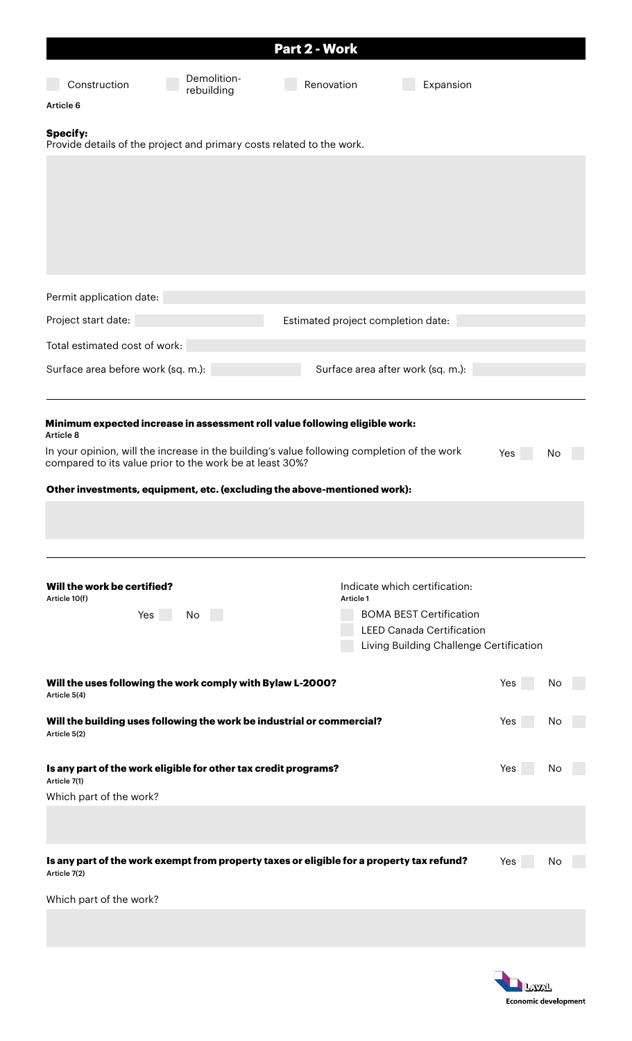|                                                                                                                                                         |             | Part 2 - Work                      |                                         |     |    |  |
|---------------------------------------------------------------------------------------------------------------------------------------------------------|-------------|------------------------------------|-----------------------------------------|-----|----|--|
| Construction                                                                                                                                            | Demolition- | Renovation                         | Expansion                               |     |    |  |
| Article 6                                                                                                                                               | rebuilding  |                                    |                                         |     |    |  |
|                                                                                                                                                         |             |                                    |                                         |     |    |  |
| <b>Specify:</b><br>Provide details of the project and primary costs related to the work.                                                                |             |                                    |                                         |     |    |  |
|                                                                                                                                                         |             |                                    |                                         |     |    |  |
|                                                                                                                                                         |             |                                    |                                         |     |    |  |
|                                                                                                                                                         |             |                                    |                                         |     |    |  |
|                                                                                                                                                         |             |                                    |                                         |     |    |  |
|                                                                                                                                                         |             |                                    |                                         |     |    |  |
|                                                                                                                                                         |             |                                    |                                         |     |    |  |
| Permit application date:                                                                                                                                |             |                                    |                                         |     |    |  |
| Project start date:                                                                                                                                     |             | Estimated project completion date: |                                         |     |    |  |
| Total estimated cost of work:                                                                                                                           |             |                                    |                                         |     |    |  |
| Surface area before work (sq. m.):                                                                                                                      |             |                                    | Surface area after work (sq. m.):       |     |    |  |
|                                                                                                                                                         |             |                                    |                                         |     |    |  |
| Minimum expected increase in assessment roll value following eligible work:<br>Article 8                                                                |             |                                    |                                         |     |    |  |
| In your opinion, will the increase in the building's value following completion of the work<br>compared to its value prior to the work be at least 30%? |             |                                    |                                         | Yes | No |  |
| Other investments, equipment, etc. (excluding the above-mentioned work):                                                                                |             |                                    |                                         |     |    |  |
|                                                                                                                                                         |             |                                    |                                         |     |    |  |
|                                                                                                                                                         |             |                                    |                                         |     |    |  |
|                                                                                                                                                         |             |                                    |                                         |     |    |  |
| Will the work be certified?                                                                                                                             |             |                                    | Indicate which certification:           |     |    |  |
| Article 10(f)<br>Yes                                                                                                                                    | No          | Article 1                          | <b>BOMA BEST Certification</b>          |     |    |  |
|                                                                                                                                                         |             |                                    | <b>LEED Canada Certification</b>        |     |    |  |
|                                                                                                                                                         |             |                                    | Living Building Challenge Certification |     |    |  |
| Will the uses following the work comply with Bylaw L-2000?                                                                                              |             |                                    |                                         | Yes | No |  |
| Article 5(4)                                                                                                                                            |             |                                    |                                         |     |    |  |
| Will the building uses following the work be industrial or commercial?<br>Article 5(2)                                                                  |             |                                    |                                         | Yes | No |  |
|                                                                                                                                                         |             |                                    |                                         |     |    |  |
| Is any part of the work eligible for other tax credit programs?<br>Article 7(1)                                                                         |             |                                    |                                         | Yes | No |  |
| Which part of the work?                                                                                                                                 |             |                                    |                                         |     |    |  |
|                                                                                                                                                         |             |                                    |                                         |     |    |  |
|                                                                                                                                                         |             |                                    |                                         |     |    |  |
| Is any part of the work exempt from property taxes or eligible for a property tax refund?<br>Article 7(2)                                               |             |                                    |                                         | Yes | No |  |
| Which part of the work?                                                                                                                                 |             |                                    |                                         |     |    |  |
|                                                                                                                                                         |             |                                    |                                         |     |    |  |